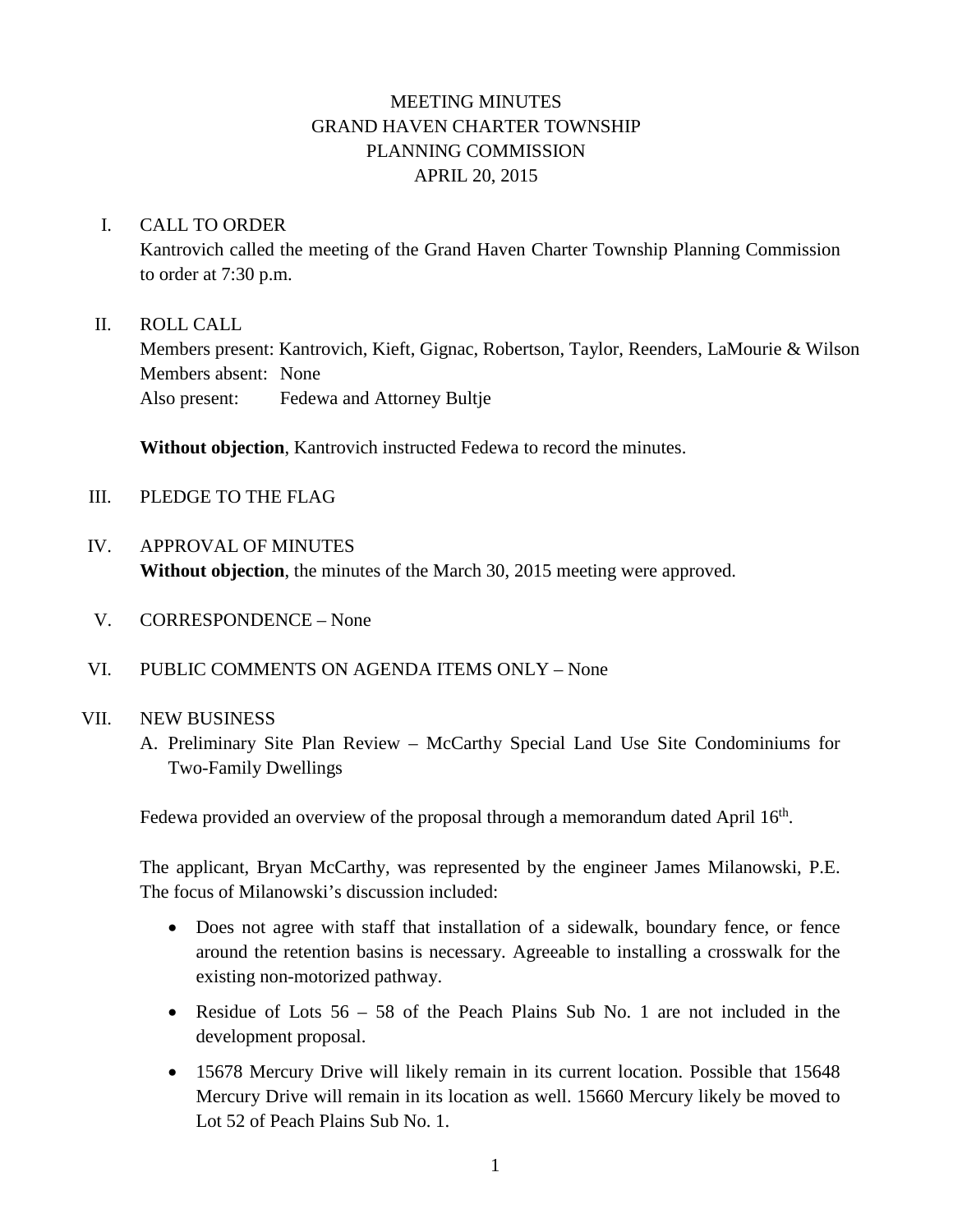# MEETING MINUTES GRAND HAVEN CHARTER TOWNSHIP PLANNING COMMISSION APRIL 20, 2015

## I. CALL TO ORDER

Kantrovich called the meeting of the Grand Haven Charter Township Planning Commission to order at 7:30 p.m.

## II. ROLL CALL

Members present: Kantrovich, Kieft, Gignac, Robertson, Taylor, Reenders, LaMourie & Wilson Members absent: None Also present: Fedewa and Attorney Bultje

**Without objection**, Kantrovich instructed Fedewa to record the minutes.

- III. PLEDGE TO THE FLAG
- IV. APPROVAL OF MINUTES **Without objection**, the minutes of the March 30, 2015 meeting were approved.
- V. CORRESPONDENCE None
- VI. PUBLIC COMMENTS ON AGENDA ITEMS ONLY None

## VII. NEW BUSINESS

A. Preliminary Site Plan Review – McCarthy Special Land Use Site Condominiums for Two-Family Dwellings

Fedewa provided an overview of the proposal through a memorandum dated April 16<sup>th</sup>.

The applicant, Bryan McCarthy, was represented by the engineer James Milanowski, P.E. The focus of Milanowski's discussion included:

- Does not agree with staff that installation of a sidewalk, boundary fence, or fence around the retention basins is necessary. Agreeable to installing a crosswalk for the existing non-motorized pathway.
- Residue of Lots  $56 58$  of the Peach Plains Sub No. 1 are not included in the development proposal.
- 15678 Mercury Drive will likely remain in its current location. Possible that 15648 Mercury Drive will remain in its location as well. 15660 Mercury likely be moved to Lot 52 of Peach Plains Sub No. 1.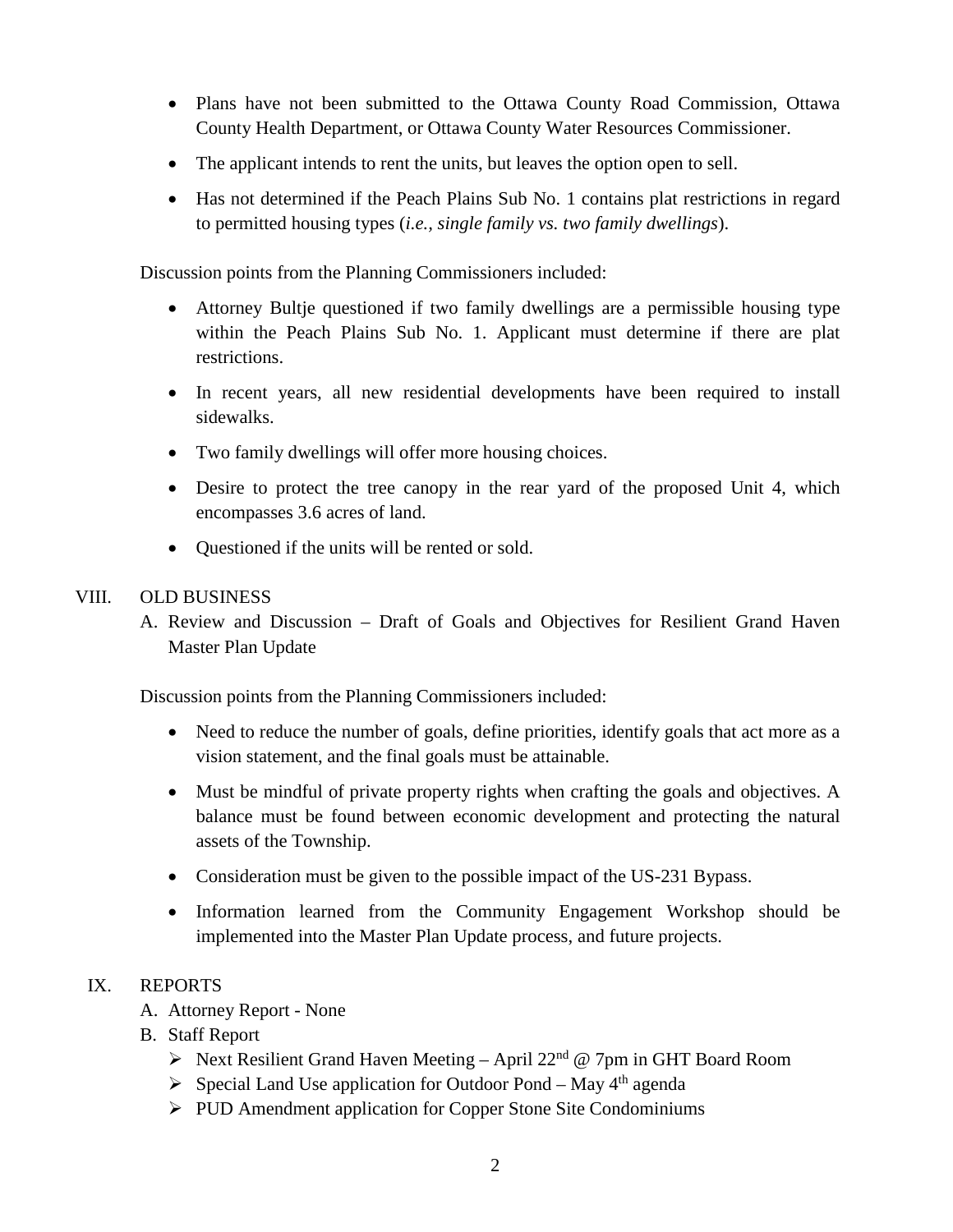- Plans have not been submitted to the Ottawa County Road Commission, Ottawa County Health Department, or Ottawa County Water Resources Commissioner.
- The applicant intends to rent the units, but leaves the option open to sell.
- Has not determined if the Peach Plains Sub No. 1 contains plat restrictions in regard to permitted housing types (*i.e., single family vs. two family dwellings*).

Discussion points from the Planning Commissioners included:

- Attorney Bultje questioned if two family dwellings are a permissible housing type within the Peach Plains Sub No. 1. Applicant must determine if there are plat restrictions.
- In recent years, all new residential developments have been required to install sidewalks.
- Two family dwellings will offer more housing choices.
- Desire to protect the tree canopy in the rear yard of the proposed Unit 4, which encompasses 3.6 acres of land.
- Questioned if the units will be rented or sold.

## VIII. OLD BUSINESS

A. Review and Discussion – Draft of Goals and Objectives for Resilient Grand Haven Master Plan Update

Discussion points from the Planning Commissioners included:

- Need to reduce the number of goals, define priorities, identify goals that act more as a vision statement, and the final goals must be attainable.
- Must be mindful of private property rights when crafting the goals and objectives. A balance must be found between economic development and protecting the natural assets of the Township.
- Consideration must be given to the possible impact of the US-231 Bypass.
- Information learned from the Community Engagement Workshop should be implemented into the Master Plan Update process, and future projects.

# IX. REPORTS

- A. Attorney Report None
- B. Staff Report
	- $\triangleright$  Next Resilient Grand Haven Meeting April 22<sup>nd</sup> @ 7pm in GHT Board Room
	- $\triangleright$  Special Land Use application for Outdoor Pond May 4<sup>th</sup> agenda
	- $\triangleright$  PUD Amendment application for Copper Stone Site Condominiums